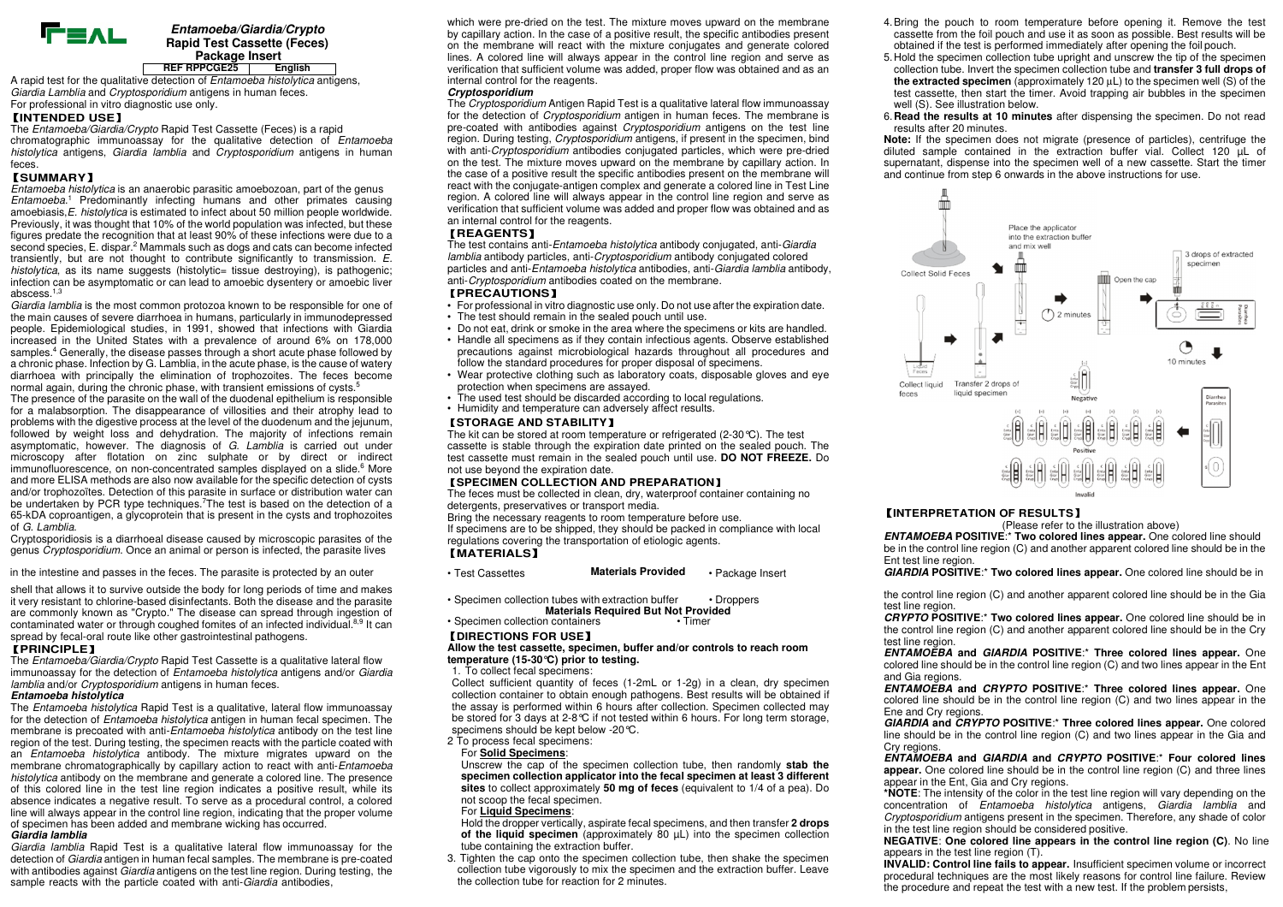

#### **Entamoeba/Giardia/Crypto Rapid Test Cassette (Feces) Package Insert EnglishREF RPPCGE25**

A rapid test for the qualitative detection of *Entamoeba histolytica* antigens, Giardia Lamblia and Cryptosporidium antigens in human feces. For professional in vitro diagnostic use only.

#### 【**INTENDED USE**】

The Entamoeba/Giardia/Crypto Rapid Test Cassette (Feces) is a rapid chromatographic immunoassay for the qualitative detection of Entamoeba histolytica antigens, Giardia lamblia and Cryptosporidium antigens in human feces.

## 【**SUMMARY**】

Entamoeba histolytica is an anaerobic parasitic amoebozoan, part of the genus Entamoeba.<sup>1</sup> Predominantly infecting humans and other primates causing amoebiasis, E. histolytica is estimated to infect about 50 million people worldwide. Previously, it was thought that 10% of the world population was infected, but these figures predate the recognition that at least 90% of these infections were due to a second species, E. dispar.<sup>2</sup> Mammals such as dogs and cats can become infected transiently, but are not thought to contribute significantly to transmission. E. histolytica, as its name suggests (histolytic= tissue destroying), is pathogenic; infection can be asymptomatic or can lead to amoebic dysentery or amoebic liver abscess.1,3

Giardia lamblia is the most common protozoa known to be responsible for one of the main causes of severe diarrhoea in humans, particularly in immunodepressed people. Epidemiological studies, in 1991, showed that infections with Giardia increased in the United States with a prevalence of around 6% on 178,000 samples.<sup>4</sup> Generally, the disease passes through a short acute phase followed by a chronic phase. Infection by G. Lamblia, in the acute phase, is the cause of watery diarrhoea with principally the elimination of trophozoites. The feces become normal again, during the chronic phase, with transient emissions of cysts.<sup>5</sup>

 The presence of the parasite on the wall of the duodenal epithelium is responsible for a malabsorption. The disappearance of villosities and their atrophy lead to problems with the digestive process at the level of the duodenum and the jejunum, followed by weight loss and dehydration. The majority of infections remain asymptomatic, however. The diagnosis of G. Lamblia is carried out under microscopy after flotation on zinc sulphate or by direct or indirect immunofluorescence, on non-concentrated samples displayed on a slide.<sup>6</sup> More and more ELISA methods are also now available for the specific detection of cysts and/or trophozoïtes. Detection of this parasite in surface or distribution water can be undertaken by PCR type techniques.<sup>7</sup>The test is based on the detection of a 65-kDA coproantigen, a glycoprotein that is present in the cysts and trophozoites of G. Lamblia.

 Cryptosporidiosis is a diarrhoeal disease caused by microscopic parasites of the genus Cryptosporidium. Once an animal or person is infected, the parasite lives

shell that allows it to survive outside the body for long periods of time and makes it very resistant to chlorine-based disinfectants. Both the disease and the parasite are commonly known as "Crypto." The disease can spread through ingestion of contaminated water or through coughed fomites of an infected individual.<sup>8,9</sup> It can spread by fecal-oral route like other gastrointestinal pathogens.

### 【**PRINCIPLE**】

The Entamoeba/Giardia/Crypto Rapid Test Cassette is a qualitative lateral flow immunoassay for the detection of Entamoeba histolytica antigens and/or Giardia lamblia and/or Cryptosporidium antigens in human feces.

#### **Entamoeba histolytica**

The *Entamoeba histolytica* Rapid Test is a qualitative, lateral flow immunoassay for the detection of Entamoeba histolytica antigen in human fecal specimen. The membrane is precoated with anti-Entamoeba histolytica antibody on the test line region of the test. During testing, the specimen reacts with the particle coated with an *Entamoeba histolytica* antibody. The mixture migrates upward on the membrane chromatographically by capillary action to react with anti-Entamoeba histolytica antibody on the membrane and generate a colored line. The presence of this colored line in the test line region indicates a positive result, while its absence indicates a negative result. To serve as a procedural control, a colored line will always appear in the control line region, indicating that the proper volume of specimen has been added and membrane wicking has occurred.

# **Giardia lamblia**

Giardia lamblia Rapid Test is a qualitative lateral flow immunoassay for the detection of Giardia antigen in human fecal samples. The membrane is pre-coated with antibodies against Giardia antigens on the test line region. During testing, the sample reacts with the particle coated with anti-Giardia antibodies.

which were pre-dried on the test. The mixture moves upward on the membrane by capillary action. In the case of a positive result, the specific antibodies present on the membrane will react with the mixture conjugates and generate colored lines. A colored line will always appear in the control line region and serve as verification that sufficient volume was added, proper flow was obtained and as an internal control for the reagents.

#### **Cryptosporidium**

The Cryptosporidium Antigen Rapid Test is a qualitative lateral flow immunoassay for the detection of Cryptosporidium antigen in human feces. The membrane is pre-coated with antibodies against *Cryptosporidium* antigens on the test line region. During testing, Cryptosporidium antigens, if present in the specimen, bind with anti-Cryptosporidium antibodies conjugated particles, which were pre-dried on the test. The mixture moves upward on the membrane by capillary action. In the case of a positive result the specific antibodies present on the membrane will react with the conjugate-antigen complex and generate a colored line in Test Line region. A colored line will always appear in the control line region and serve as verification that sufficient volume was added and proper flow was obtained and as an internal control for the reagents.

### 【**REAGENTS**】

The test contains anti-Entamoeba histolytica antibody conjugated, anti-Giardia lamblia antibody particles, anti-Cryptosporidium antibody conjugated colored particles and anti-Entamoeba histolytica antibodies, anti-Giardia lamblia antibody, anti-Cryptosporidium antibodies coated on the membrane.

## 【**PRECAUTIONS**】

- For professional in vitro diagnostic use only. Do not use after the expiration date.
- The test should remain in the sealed pouch until use.
- Do not eat, drink or smoke in the area where the specimens or kits are handled.
- Handle all specimens as if they contain infectious agents. Observe established precautions against microbiological hazards throughout all procedures and follow the standard procedures for proper disposal of specimens.
- Wear protective clothing such as laboratory coats, disposable gloves and eye protection when specimens are assayed.
- The used test should be discarded according to local regulations.
- Humidity and temperature can adversely affect results.

## 【**STORAGE AND STABILITY**】

The kit can be stored at room temperature or refrigerated (2-30°C). The test cassette is stable through the expiration date printed on the sealed pouch. The test cassette must remain in the sealed pouch until use. **DO NOT FREEZE.** Do not use beyond the expiration date.

### 【**SPECIMEN COLLECTION AND PREPARATION**】

The feces must be collected in clean, dry, waterproof container containing no detergents, preservatives or transport media.

Bring the necessary reagents to room temperature before use.

 If specimens are to be shipped, they should be packed in compliance with local regulations covering the transportation of etiologic agents.

- 
- Specimen collection tubes with extraction buffer Droppers **Materials Required But Not Provided** • Specimen collection containers
	-

# 【**DIRECTIONS FOR USE**】

**Allow the test cassette, specimen, buffer and/or controls to reach room temperature (15-30°C) prior to testing.** 

1. To collect fecal specimens:

 Collect sufficient quantity of feces (1-2mL or 1-2g) in a clean, dry specimen collection container to obtain enough pathogens. Best results will be obtained if the assay is performed within 6 hours after collection. Specimen collected may be stored for 3 days at 2-8°C if not tested within 6 hours. For long term storage, specimens should be kept below -20°C.

2 To process fecal specimens: For **Solid Specimens**:

 Unscrew the cap of the specimen collection tube, then randomly **stab the specimen collection applicator into the fecal specimen at least 3 different sites** to collect approximately **50 mg of feces** (equivalent to 1/4 of a pea). Do not scoop the fecal specimen.

#### For **Liquid Specimens**:

 Hold the dropper vertically, aspirate fecal specimens, and then transfer **2 drops of the liquid specimen** (approximately 80 µL) into the specimen collection tube containing the extraction buffer.

 3. Tighten the cap onto the specimen collection tube, then shake the specimen collection tube vigorously to mix the specimen and the extraction buffer. Leave the collection tube for reaction for 2 minutes.

- 
- 
- 



# 【**INTERPRETATION OF RESULTS**】

(Please refer to the illustration above)

 **ENTAMOEBA POSITIVE**:\* **Two colored lines appear.** One colored line should be in the control line region (C) and another apparent colored line should be in the Ent test line region.

in the intestine and passes in the feces. The parasite is protected by an outer **Fest Cassettes** Materials Provided Package Insert GIARDIA POSITIVE:\* Two colored lines appear. One colored line should be in

the control line region (C) and another apparent colored line should be in the Gia test line region.

 **CRYPTO POSITIVE**:\* **Two colored lines appear.** One colored line should be in the control line region (C) and another apparent colored line should be in the Cry test line region

 **ENTAMOEBA and GIARDIA POSITIVE**:\* **Three colored lines appear.** One colored line should be in the control line region (C) and two lines appear in the Ent and Gia regions.

 **ENTAMOEBA and CRYPTO POSITIVE**:\* **Three colored lines appear.** One colored line should be in the control line region (C) and two lines appear in the Ene and Cry regions.

 **GIARDIA and CRYPTO POSITIVE**:\* **Three colored lines appear.** One colored line should be in the control line region (C) and two lines appear in the Gia and Cry regions.

 **ENTAMOEBA and GIARDIA and CRYPTO POSITIVE**:\* **Four colored lines appear.** One colored line should be in the control line region (C) and three lines appear in the Ent, Gia and Cry regions.

 **\*NOTE**: The intensity of the color in the test line region will vary depending on the concentration of Entamoeba histolytica antigens, Giardia lamblia and Cryptosporidium antigens present in the specimen. Therefore, any shade of color in the test line region should be considered positive.

 **NEGATIVE**: **One colored line appears in the control line region (C)**. No line appears in the test line region (T).

 **INVALID: Control line fails to appear.** Insufficient specimen volume or incorrect procedural techniques are the most likely reasons for control line failure. Review the procedure and repeat the test with a new test. If the problem persists,